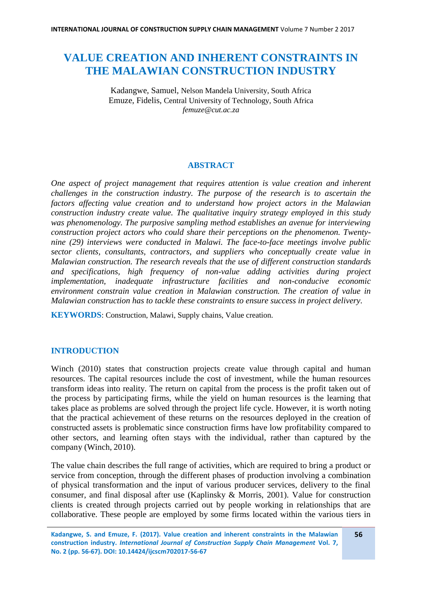# **VALUE CREATION AND INHERENT CONSTRAINTS IN THE MALAWIAN CONSTRUCTION INDUSTRY**

Kadangwe, Samuel, Nelson Mandela University, South Africa Emuze, Fidelis, Central University of Technology, South Africa *femuze@cut.ac.za*

## **ABSTRACT**

*One aspect of project management that requires attention is value creation and inherent challenges in the construction industry. The purpose of the research is to ascertain the factors affecting value creation and to understand how project actors in the Malawian construction industry create value. The qualitative inquiry strategy employed in this study was phenomenology. The purposive sampling method establishes an avenue for interviewing construction project actors who could share their perceptions on the phenomenon. Twentynine (29) interviews were conducted in Malawi. The face-to-face meetings involve public sector clients, consultants, contractors, and suppliers who conceptually create value in Malawian construction. The research reveals that the use of different construction standards and specifications, high frequency of non-value adding activities during project implementation, inadequate infrastructure facilities and non-conducive economic environment constrain value creation in Malawian construction. The creation of value in Malawian construction has to tackle these constraints to ensure success in project delivery.*

**KEYWORDS**: Construction, Malawi, Supply chains, Value creation.

## **INTRODUCTION**

Winch (2010) states that construction projects create value through capital and human resources. The capital resources include the cost of investment, while the human resources transform ideas into reality. The return on capital from the process is the profit taken out of the process by participating firms, while the yield on human resources is the learning that takes place as problems are solved through the project life cycle. However, it is worth noting that the practical achievement of these returns on the resources deployed in the creation of constructed assets is problematic since construction firms have low profitability compared to other sectors, and learning often stays with the individual, rather than captured by the company (Winch, 2010).

The value chain describes the full range of activities, which are required to bring a product or service from conception, through the different phases of production involving a combination of physical transformation and the input of various producer services, delivery to the final consumer, and final disposal after use (Kaplinsky & Morris, 2001). Value for construction clients is created through projects carried out by people working in relationships that are collaborative. These people are employed by some firms located within the various tiers in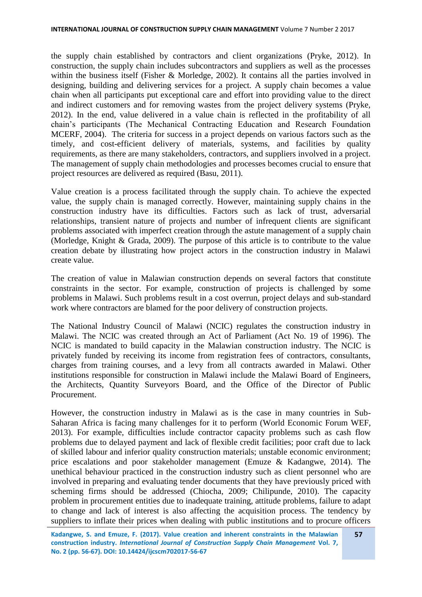the supply chain established by contractors and client organizations (Pryke, 2012). In construction, the supply chain includes subcontractors and suppliers as well as the processes within the business itself (Fisher & Morledge, 2002). It contains all the parties involved in designing, building and delivering services for a project. A supply chain becomes a value chain when all participants put exceptional care and effort into providing value to the direct and indirect customers and for removing wastes from the project delivery systems (Pryke, 2012). In the end, value delivered in a value chain is reflected in the profitability of all chain's participants (The Mechanical Contracting Education and Research Foundation MCERF, 2004). The criteria for success in a project depends on various factors such as the timely, and cost-efficient delivery of materials, systems, and facilities by quality requirements, as there are many stakeholders, contractors, and suppliers involved in a project. The management of supply chain methodologies and processes becomes crucial to ensure that project resources are delivered as required (Basu, 2011).

Value creation is a process facilitated through the supply chain. To achieve the expected value, the supply chain is managed correctly. However, maintaining supply chains in the construction industry have its difficulties. Factors such as lack of trust, adversarial relationships, transient nature of projects and number of infrequent clients are significant problems associated with imperfect creation through the astute management of a supply chain (Morledge, Knight & Grada, 2009). The purpose of this article is to contribute to the value creation debate by illustrating how project actors in the construction industry in Malawi create value.

The creation of value in Malawian construction depends on several factors that constitute constraints in the sector. For example, construction of projects is challenged by some problems in Malawi. Such problems result in a cost overrun, project delays and sub-standard work where contractors are blamed for the poor delivery of construction projects.

The National Industry Council of Malawi (NCIC) regulates the construction industry in Malawi. The NCIC was created through an Act of Parliament (Act No. 19 of 1996). The NCIC is mandated to build capacity in the Malawian construction industry. The NCIC is privately funded by receiving its income from registration fees of contractors, consultants, charges from training courses, and a levy from all contracts awarded in Malawi. Other institutions responsible for construction in Malawi include the Malawi Board of Engineers, the Architects, Quantity Surveyors Board, and the Office of the Director of Public Procurement.

However, the construction industry in Malawi as is the case in many countries in Sub-Saharan Africa is facing many challenges for it to perform (World Economic Forum WEF, 2013). For example, difficulties include contractor capacity problems such as cash flow problems due to delayed payment and lack of flexible credit facilities; poor craft due to lack of skilled labour and inferior quality construction materials; unstable economic environment; price escalations and poor stakeholder management (Emuze & Kadangwe, 2014). The unethical behaviour practiced in the construction industry such as client personnel who are involved in preparing and evaluating tender documents that they have previously priced with scheming firms should be addressed (Chiocha, 2009; Chilipunde, 2010). The capacity problem in procurement entities due to inadequate training, attitude problems, failure to adapt to change and lack of interest is also affecting the acquisition process. The tendency by suppliers to inflate their prices when dealing with public institutions and to procure officers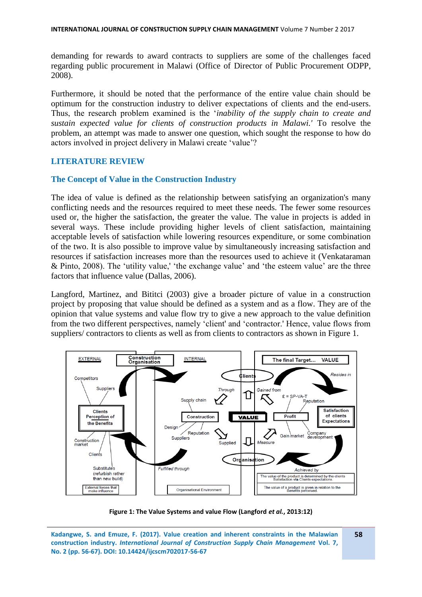demanding for rewards to award contracts to suppliers are some of the challenges faced regarding public procurement in Malawi (Office of Director of Public Procurement ODPP, 2008).

Furthermore, it should be noted that the performance of the entire value chain should be optimum for the construction industry to deliver expectations of clients and the end-users. Thus, the research problem examined is the '*inability of the supply chain to create and sustain expected value for clients of construction products in Malawi.'* To resolve the problem, an attempt was made to answer one question, which sought the response to how do actors involved in project delivery in Malawi create 'value'?

## **LITERATURE REVIEW**

#### **The Concept of Value in the Construction Industry**

The idea of value is defined as the relationship between satisfying an organization's many conflicting needs and the resources required to meet these needs. The fewer some resources used or, the higher the satisfaction, the greater the value. The value in projects is added in several ways. These include providing higher levels of client satisfaction, maintaining acceptable levels of satisfaction while lowering resources expenditure, or some combination of the two. It is also possible to improve value by simultaneously increasing satisfaction and resources if satisfaction increases more than the resources used to achieve it (Venkataraman & Pinto, 2008). The 'utility value,' 'the exchange value' and 'the esteem value' are the three factors that influence value (Dallas, 2006).

Langford, Martinez, and Bititci (2003) give a broader picture of value in a construction project by proposing that value should be defined as a system and as a flow. They are of the opinion that value systems and value flow try to give a new approach to the value definition from the two different perspectives, namely 'client' and 'contractor.' Hence, value flows from suppliers/ contractors to clients as well as from clients to contractors as shown in Figure 1.



**Figure 1: The Value Systems and value Flow (Langford** *et al.***, 2013:12)**

**Kadangwe, S. and Emuze, F. (2017). Value creation and inherent constraints in the Malawian construction industry.** *International Journal of Construction Supply Chain Management* **Vol. 7, No. 2 (pp. 56-67). DOI: 10.14424/ijcscm702017-56-67**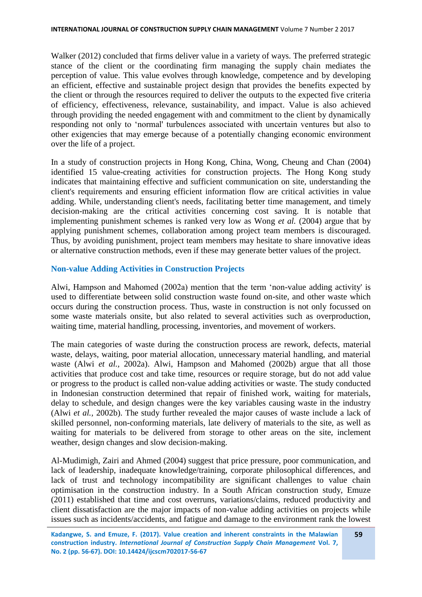Walker (2012) concluded that firms deliver value in a variety of ways. The preferred strategic stance of the client or the coordinating firm managing the supply chain mediates the perception of value. This value evolves through knowledge, competence and by developing an efficient, effective and sustainable project design that provides the benefits expected by the client or through the resources required to deliver the outputs to the expected five criteria of efficiency, effectiveness, relevance, sustainability, and impact. Value is also achieved through providing the needed engagement with and commitment to the client by dynamically responding not only to 'normal' turbulences associated with uncertain ventures but also to other exigencies that may emerge because of a potentially changing economic environment over the life of a project.

In a study of construction projects in Hong Kong, China, Wong, Cheung and Chan (2004) identified 15 value-creating activities for construction projects. The Hong Kong study indicates that maintaining effective and sufficient communication on site, understanding the client's requirements and ensuring efficient information flow are critical activities in value adding. While, understanding client's needs, facilitating better time management, and timely decision-making are the critical activities concerning cost saving. It is notable that implementing punishment schemes is ranked very low as Wong *et al.* (2004) argue that by applying punishment schemes, collaboration among project team members is discouraged. Thus, by avoiding punishment, project team members may hesitate to share innovative ideas or alternative construction methods, even if these may generate better values of the project.

## **Non-value Adding Activities in Construction Projects**

Alwi, Hampson and Mahomed (2002a) mention that the term 'non-value adding activity' is used to differentiate between solid construction waste found on-site, and other waste which occurs during the construction process. Thus, waste in construction is not only focussed on some waste materials onsite, but also related to several activities such as overproduction, waiting time, material handling, processing, inventories, and movement of workers.

The main categories of waste during the construction process are rework, defects, material waste, delays, waiting, poor material allocation, unnecessary material handling, and material waste (Alwi *et al.,* 2002a). Alwi, Hampson and Mahomed (2002b) argue that all those activities that produce cost and take time, resources or require storage, but do not add value or progress to the product is called non-value adding activities or waste. The study conducted in Indonesian construction determined that repair of finished work, waiting for materials, delay to schedule, and design changes were the key variables causing waste in the industry (Alwi *et al.,* 2002b). The study further revealed the major causes of waste include a lack of skilled personnel, non-conforming materials, late delivery of materials to the site, as well as waiting for materials to be delivered from storage to other areas on the site, inclement weather, design changes and slow decision-making.

Al-Mudimigh, Zairi and Ahmed (2004) suggest that price pressure, poor communication, and lack of leadership, inadequate knowledge/training, corporate philosophical differences, and lack of trust and technology incompatibility are significant challenges to value chain optimisation in the construction industry. In a South African construction study, Emuze (2011) established that time and cost overruns, variations/claims, reduced productivity and client dissatisfaction are the major impacts of non-value adding activities on projects while issues such as incidents/accidents, and fatigue and damage to the environment rank the lowest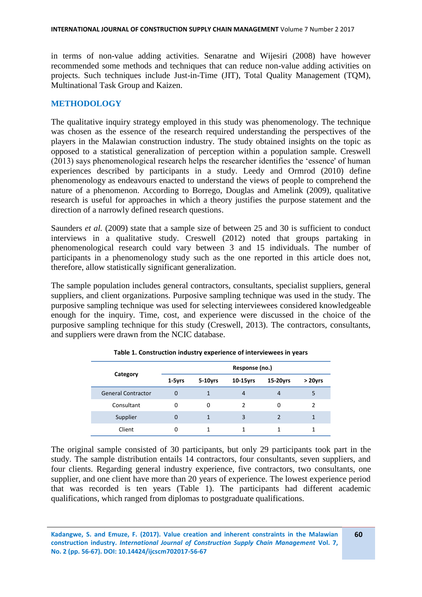in terms of non-value adding activities. Senaratne and Wijesiri (2008) have however recommended some methods and techniques that can reduce non-value adding activities on projects. Such techniques include Just-in-Time (JIT), Total Quality Management (TQM), Multinational Task Group and Kaizen.

## **METHODOLOGY**

The qualitative inquiry strategy employed in this study was phenomenology. The technique was chosen as the essence of the research required understanding the perspectives of the players in the Malawian construction industry. The study obtained insights on the topic as opposed to a statistical generalization of perception within a population sample. Creswell (2013) says phenomenological research helps the researcher identifies the 'essence' of human experiences described by participants in a study. Leedy and Ormrod (2010) define phenomenology as endeavours enacted to understand the views of people to comprehend the nature of a phenomenon. According to Borrego, Douglas and Amelink (2009), qualitative research is useful for approaches in which a theory justifies the purpose statement and the direction of a narrowly defined research questions.

Saunders *et al.* (2009) state that a sample size of between 25 and 30 is sufficient to conduct interviews in a qualitative study. Creswell (2012) noted that groups partaking in phenomenological research could vary between 3 and 15 individuals. The number of participants in a phenomenology study such as the one reported in this article does not, therefore, allow statistically significant generalization.

The sample population includes general contractors, consultants, specialist suppliers, general suppliers, and client organizations. Purposive sampling technique was used in the study. The purposive sampling technique was used for selecting interviewees considered knowledgeable enough for the inquiry. Time, cost, and experience were discussed in the choice of the purposive sampling technique for this study (Creswell, 2013). The contractors, consultants, and suppliers were drawn from the NCIC database.

|                           | Response (no.) |            |                |                |               |
|---------------------------|----------------|------------|----------------|----------------|---------------|
| Category                  | $1-5yrs$       | $5-10$ yrs | 10-15yrs       | 15-20yrs       | $>$ 20 $V$ rs |
| <b>General Contractor</b> | $\Omega$       | 1          | $\overline{4}$ | $\overline{4}$ | 5             |
| Consultant                | 0              | 0          | $\mathcal{P}$  | 0              |               |
| Supplier                  | 0              | 1          | 3              | 2              |               |
| Client                    | 0              | 1          |                | 1              |               |

**Table 1. Construction industry experience of interviewees in years**

The original sample consisted of 30 participants, but only 29 participants took part in the study. The sample distribution entails 14 contractors, four consultants, seven suppliers, and four clients. Regarding general industry experience, five contractors, two consultants, one supplier, and one client have more than 20 years of experience. The lowest experience period that was recorded is ten years (Table 1). The participants had different academic qualifications, which ranged from diplomas to postgraduate qualifications.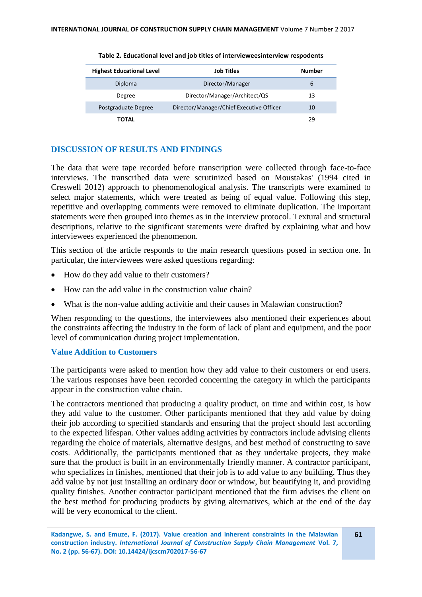| <b>Highest Educational Level</b> | Job Titles                               | Number |
|----------------------------------|------------------------------------------|--------|
| Diploma                          | Director/Manager                         | 6      |
| Degree                           | Director/Manager/Architect/QS            | 13     |
| Postgraduate Degree              | Director/Manager/Chief Executive Officer | 10     |
| TOTAL                            |                                          | 29     |

**Table 2. Educational level and job titles of intervieweesinterview respodents**

## **DISCUSSION OF RESULTS AND FINDINGS**

The data that were tape recorded before transcription were collected through face-to-face interviews. The transcribed data were scrutinized based on Moustakas' (1994 cited in Creswell 2012) approach to phenomenological analysis. The transcripts were examined to select major statements, which were treated as being of equal value. Following this step, repetitive and overlapping comments were removed to eliminate duplication. The important statements were then grouped into themes as in the interview protocol. Textural and structural descriptions, relative to the significant statements were drafted by explaining what and how interviewees experienced the phenomenon.

This section of the article responds to the main research questions posed in section one. In particular, the interviewees were asked questions regarding:

- How do they add value to their customers?
- How can the add value in the construction value chain?
- What is the non-value adding activitie and their causes in Malawian construction?

When responding to the questions, the interviewees also mentioned their experiences about the constraints affecting the industry in the form of lack of plant and equipment, and the poor level of communication during project implementation.

## **Value Addition to Customers**

The participants were asked to mention how they add value to their customers or end users. The various responses have been recorded concerning the category in which the participants appear in the construction value chain.

The contractors mentioned that producing a quality product, on time and within cost, is how they add value to the customer. Other participants mentioned that they add value by doing their job according to specified standards and ensuring that the project should last according to the expected lifespan. Other values adding activities by contractors include advising clients regarding the choice of materials, alternative designs, and best method of constructing to save costs. Additionally, the participants mentioned that as they undertake projects, they make sure that the product is built in an environmentally friendly manner. A contractor participant, who specializes in finishes, mentioned that their job is to add value to any building. Thus they add value by not just installing an ordinary door or window, but beautifying it, and providing quality finishes. Another contractor participant mentioned that the firm advises the client on the best method for producing products by giving alternatives, which at the end of the day will be very economical to the client.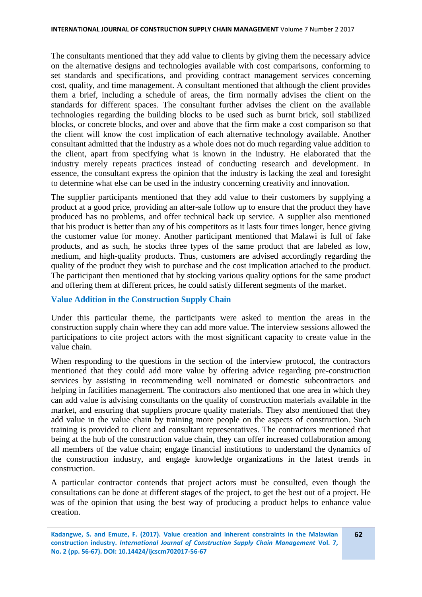The consultants mentioned that they add value to clients by giving them the necessary advice on the alternative designs and technologies available with cost comparisons, conforming to set standards and specifications, and providing contract management services concerning cost, quality, and time management. A consultant mentioned that although the client provides them a brief, including a schedule of areas, the firm normally advises the client on the standards for different spaces. The consultant further advises the client on the available technologies regarding the building blocks to be used such as burnt brick, soil stabilized blocks, or concrete blocks, and over and above that the firm make a cost comparison so that the client will know the cost implication of each alternative technology available. Another consultant admitted that the industry as a whole does not do much regarding value addition to the client, apart from specifying what is known in the industry. He elaborated that the industry merely repeats practices instead of conducting research and development. In essence, the consultant express the opinion that the industry is lacking the zeal and foresight to determine what else can be used in the industry concerning creativity and innovation.

The supplier participants mentioned that they add value to their customers by supplying a product at a good price, providing an after-sale follow up to ensure that the product they have produced has no problems, and offer technical back up service. A supplier also mentioned that his product is better than any of his competitors as it lasts four times longer, hence giving the customer value for money. Another participant mentioned that Malawi is full of fake products, and as such, he stocks three types of the same product that are labeled as low, medium, and high-quality products. Thus, customers are advised accordingly regarding the quality of the product they wish to purchase and the cost implication attached to the product. The participant then mentioned that by stocking various quality options for the same product and offering them at different prices, he could satisfy different segments of the market.

#### **Value Addition in the Construction Supply Chain**

Under this particular theme, the participants were asked to mention the areas in the construction supply chain where they can add more value. The interview sessions allowed the participations to cite project actors with the most significant capacity to create value in the value chain.

When responding to the questions in the section of the interview protocol, the contractors mentioned that they could add more value by offering advice regarding pre-construction services by assisting in recommending well nominated or domestic subcontractors and helping in facilities management. The contractors also mentioned that one area in which they can add value is advising consultants on the quality of construction materials available in the market, and ensuring that suppliers procure quality materials. They also mentioned that they add value in the value chain by training more people on the aspects of construction. Such training is provided to client and consultant representatives. The contractors mentioned that being at the hub of the construction value chain, they can offer increased collaboration among all members of the value chain; engage financial institutions to understand the dynamics of the construction industry, and engage knowledge organizations in the latest trends in construction.

A particular contractor contends that project actors must be consulted, even though the consultations can be done at different stages of the project, to get the best out of a project. He was of the opinion that using the best way of producing a product helps to enhance value creation.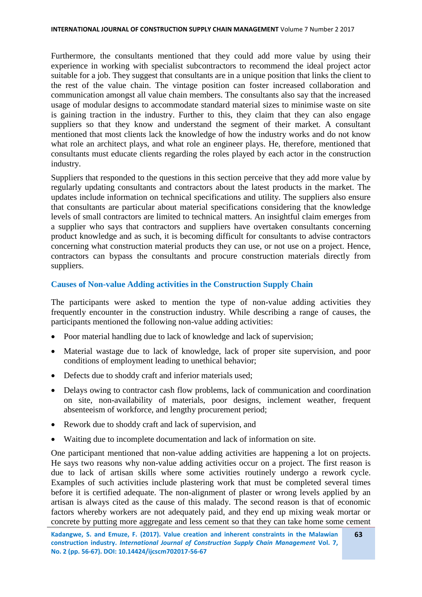Furthermore, the consultants mentioned that they could add more value by using their experience in working with specialist subcontractors to recommend the ideal project actor suitable for a job. They suggest that consultants are in a unique position that links the client to the rest of the value chain. The vintage position can foster increased collaboration and communication amongst all value chain members. The consultants also say that the increased usage of modular designs to accommodate standard material sizes to minimise waste on site is gaining traction in the industry. Further to this, they claim that they can also engage suppliers so that they know and understand the segment of their market. A consultant mentioned that most clients lack the knowledge of how the industry works and do not know what role an architect plays, and what role an engineer plays. He, therefore, mentioned that consultants must educate clients regarding the roles played by each actor in the construction industry.

Suppliers that responded to the questions in this section perceive that they add more value by regularly updating consultants and contractors about the latest products in the market. The updates include information on technical specifications and utility. The suppliers also ensure that consultants are particular about material specifications considering that the knowledge levels of small contractors are limited to technical matters. An insightful claim emerges from a supplier who says that contractors and suppliers have overtaken consultants concerning product knowledge and as such, it is becoming difficult for consultants to advise contractors concerning what construction material products they can use, or not use on a project. Hence, contractors can bypass the consultants and procure construction materials directly from suppliers.

### **Causes of Non-value Adding activities in the Construction Supply Chain**

The participants were asked to mention the type of non-value adding activities they frequently encounter in the construction industry. While describing a range of causes, the participants mentioned the following non-value adding activities:

- Poor material handling due to lack of knowledge and lack of supervision;
- Material wastage due to lack of knowledge, lack of proper site supervision, and poor conditions of employment leading to unethical behavior;
- Defects due to shoddy craft and inferior materials used;
- Delays owing to contractor cash flow problems, lack of communication and coordination on site, non-availability of materials, poor designs, inclement weather, frequent absenteeism of workforce, and lengthy procurement period;
- Rework due to shoddy craft and lack of supervision, and
- Waiting due to incomplete documentation and lack of information on site.

One participant mentioned that non-value adding activities are happening a lot on projects. He says two reasons why non-value adding activities occur on a project. The first reason is due to lack of artisan skills where some activities routinely undergo a rework cycle. Examples of such activities include plastering work that must be completed several times before it is certified adequate. The non-alignment of plaster or wrong levels applied by an artisan is always cited as the cause of this malady. The second reason is that of economic factors whereby workers are not adequately paid, and they end up mixing weak mortar or concrete by putting more aggregate and less cement so that they can take home some cement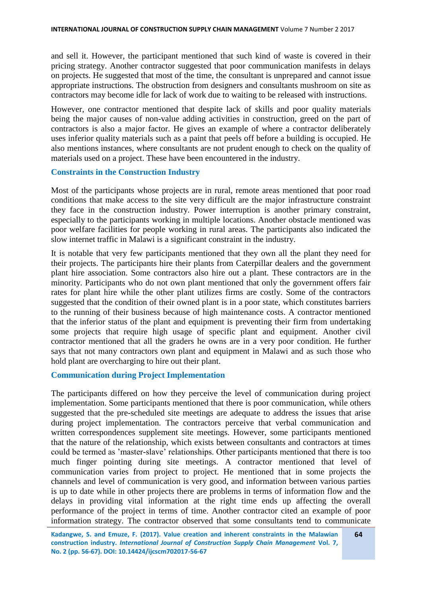and sell it. However, the participant mentioned that such kind of waste is covered in their pricing strategy. Another contractor suggested that poor communication manifests in delays on projects. He suggested that most of the time, the consultant is unprepared and cannot issue appropriate instructions. The obstruction from designers and consultants mushroom on site as contractors may become idle for lack of work due to waiting to be released with instructions.

However, one contractor mentioned that despite lack of skills and poor quality materials being the major causes of non-value adding activities in construction, greed on the part of contractors is also a major factor. He gives an example of where a contractor deliberately uses inferior quality materials such as a paint that peels off before a building is occupied. He also mentions instances, where consultants are not prudent enough to check on the quality of materials used on a project. These have been encountered in the industry.

#### **Constraints in the Construction Industry**

Most of the participants whose projects are in rural, remote areas mentioned that poor road conditions that make access to the site very difficult are the major infrastructure constraint they face in the construction industry. Power interruption is another primary constraint, especially to the participants working in multiple locations. Another obstacle mentioned was poor welfare facilities for people working in rural areas. The participants also indicated the slow internet traffic in Malawi is a significant constraint in the industry.

It is notable that very few participants mentioned that they own all the plant they need for their projects. The participants hire their plants from Caterpillar dealers and the government plant hire association. Some contractors also hire out a plant. These contractors are in the minority. Participants who do not own plant mentioned that only the government offers fair rates for plant hire while the other plant utilizes firms are costly. Some of the contractors suggested that the condition of their owned plant is in a poor state, which constitutes barriers to the running of their business because of high maintenance costs. A contractor mentioned that the inferior status of the plant and equipment is preventing their firm from undertaking some projects that require high usage of specific plant and equipment. Another civil contractor mentioned that all the graders he owns are in a very poor condition. He further says that not many contractors own plant and equipment in Malawi and as such those who hold plant are overcharging to hire out their plant.

#### **Communication during Project Implementation**

The participants differed on how they perceive the level of communication during project implementation. Some participants mentioned that there is poor communication, while others suggested that the pre-scheduled site meetings are adequate to address the issues that arise during project implementation. The contractors perceive that verbal communication and written correspondences supplement site meetings. However, some participants mentioned that the nature of the relationship, which exists between consultants and contractors at times could be termed as 'master-slave' relationships. Other participants mentioned that there is too much finger pointing during site meetings. A contractor mentioned that level of communication varies from project to project. He mentioned that in some projects the channels and level of communication is very good, and information between various parties is up to date while in other projects there are problems in terms of information flow and the delays in providing vital information at the right time ends up affecting the overall performance of the project in terms of time. Another contractor cited an example of poor information strategy. The contractor observed that some consultants tend to communicate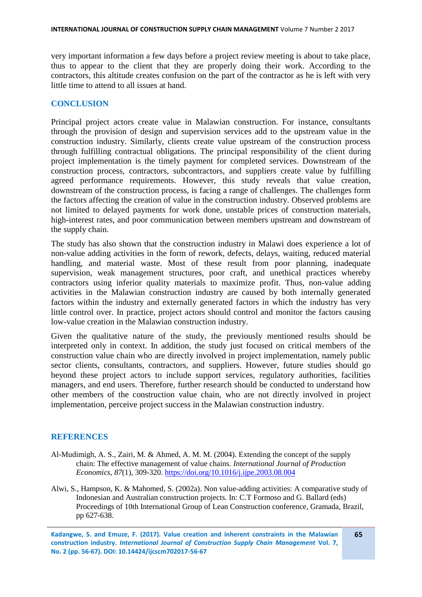very important information a few days before a project review meeting is about to take place, thus to appear to the client that they are properly doing their work. According to the contractors, this altitude creates confusion on the part of the contractor as he is left with very little time to attend to all issues at hand.

## **CONCLUSION**

Principal project actors create value in Malawian construction. For instance, consultants through the provision of design and supervision services add to the upstream value in the construction industry. Similarly, clients create value upstream of the construction process through fulfilling contractual obligations. The principal responsibility of the client during project implementation is the timely payment for completed services. Downstream of the construction process, contractors, subcontractors, and suppliers create value by fulfilling agreed performance requirements. However, this study reveals that value creation, downstream of the construction process, is facing a range of challenges. The challenges form the factors affecting the creation of value in the construction industry. Observed problems are not limited to delayed payments for work done, unstable prices of construction materials, high-interest rates, and poor communication between members upstream and downstream of the supply chain.

The study has also shown that the construction industry in Malawi does experience a lot of non-value adding activities in the form of rework, defects, delays, waiting, reduced material handling, and material waste. Most of these result from poor planning, inadequate supervision, weak management structures, poor craft, and unethical practices whereby contractors using inferior quality materials to maximize profit. Thus, non-value adding activities in the Malawian construction industry are caused by both internally generated factors within the industry and externally generated factors in which the industry has very little control over. In practice, project actors should control and monitor the factors causing low-value creation in the Malawian construction industry.

Given the qualitative nature of the study, the previously mentioned results should be interpreted only in context. In addition, the study just focused on critical members of the construction value chain who are directly involved in project implementation, namely public sector clients, consultants, contractors, and suppliers. However, future studies should go beyond these project actors to include support services, regulatory authorities, facilities managers, and end users. Therefore, further research should be conducted to understand how other members of the construction value chain, who are not directly involved in project implementation, perceive project success in the Malawian construction industry.

#### **REFERENCES**

- Al-Mudimigh, A. S., Zairi, M. & Ahmed, A. M. M. (2004). Extending the concept of the supply chain: The effective management of value chains. *International Journal of Production Economics, 87*(1), 309-320. <https://doi.org/10.1016/j.ijpe.2003.08.004>
- Alwi, S., Hampson, K. & Mahomed, S. (2002a). Non value-adding activities: A comparative study of Indonesian and Australian construction projects. In: C.T Formoso and G. Ballard (eds) Proceedings of 10th International Group of Lean Construction conference, Gramada, Brazil, pp 627-638.

**Kadangwe, S. and Emuze, F. (2017). Value creation and inherent constraints in the Malawian construction industry.** *International Journal of Construction Supply Chain Management* **Vol. 7, No. 2 (pp. 56-67). DOI: 10.14424/ijcscm702017-56-67**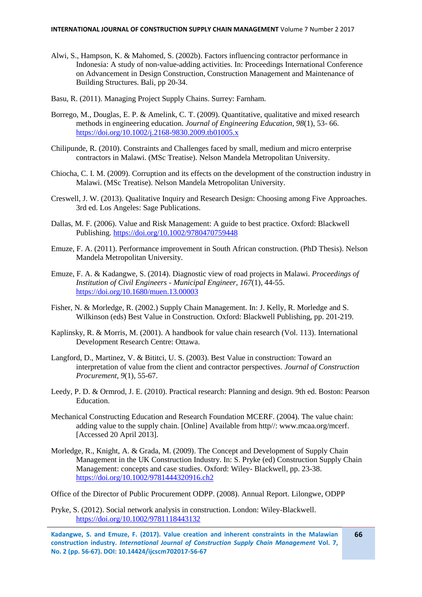- Alwi, S., Hampson, K. & Mahomed, S. (2002b). Factors influencing contractor performance in Indonesia: A study of non-value-adding activities. In: Proceedings International Conference on Advancement in Design Construction, Construction Management and Maintenance of Building Structures. Bali, pp 20-34.
- Basu, R. (2011). Managing Project Supply Chains. Surrey: Farnham.
- Borrego, M., Douglas, E. P. & Amelink, C. T. (2009). Quantitative, qualitative and mixed research methods in engineering education. *Journal of Engineering Education, 98*(1), 53- 66. <https://doi.org/10.1002/j.2168-9830.2009.tb01005.x>
- Chilipunde, R. (2010). Constraints and Challenges faced by small, medium and micro enterprise contractors in Malawi. (MSc Treatise). Nelson Mandela Metropolitan University.
- Chiocha, C. I. M. (2009). Corruption and its effects on the development of the construction industry in Malawi. (MSc Treatise). Nelson Mandela Metropolitan University.
- Creswell, J. W. (2013). Qualitative Inquiry and Research Design: Choosing among Five Approaches. 3rd ed. Los Angeles: Sage Publications.
- Dallas, M. F. (2006). Value and Risk Management: A guide to best practice. Oxford: Blackwell Publishing. <https://doi.org/10.1002/9780470759448>
- Emuze, F. A. (2011). Performance improvement in South African construction. (PhD Thesis). Nelson Mandela Metropolitan University.
- Emuze, F. A. & Kadangwe, S. (2014). Diagnostic view of road projects in Malawi. *Proceedings of Institution of Civil Engineers - Municipal Engineer, 167*(1), 44-55. <https://doi.org/10.1680/muen.13.00003>
- Fisher, N. & Morledge, R. (2002.) Supply Chain Management. In: J. Kelly, R. Morledge and S. Wilkinson (eds) Best Value in Construction. Oxford: Blackwell Publishing, pp. 201-219.
- Kaplinsky, R. & Morris, M. (2001). A handbook for value chain research (Vol. 113). International Development Research Centre: Ottawa.
- Langford, D., Martinez, V. & Bititci, U. S. (2003). Best Value in construction: Toward an interpretation of value from the client and contractor perspectives. *Journal of Construction Procurement, 9*(1), 55-67.
- Leedy, P. D. & Ormrod, J. E. (2010). Practical research: Planning and design. 9th ed. Boston: Pearson Education.
- Mechanical Constructing Education and Research Foundation MCERF. (2004). The value chain: adding value to the supply chain. [Online] Available from http//: www.mcaa.org/mcerf. [Accessed 20 April 2013].
- Morledge, R., Knight, A. & Grada, M. (2009). The Concept and Development of Supply Chain Management in the UK Construction Industry. In: S. Pryke (ed) Construction Supply Chain Management: concepts and case studies. Oxford: Wiley- Blackwell, pp. 23-38. <https://doi.org/10.1002/9781444320916.ch2>

Office of the Director of Public Procurement ODPP. (2008). Annual Report. Lilongwe, ODPP

Pryke, S. (2012). Social network analysis in construction. London: Wiley-Blackwell. <https://doi.org/10.1002/9781118443132>

**Kadangwe, S. and Emuze, F. (2017). Value creation and inherent constraints in the Malawian construction industry.** *International Journal of Construction Supply Chain Management* **Vol. 7, No. 2 (pp. 56-67). DOI: 10.14424/ijcscm702017-56-67**